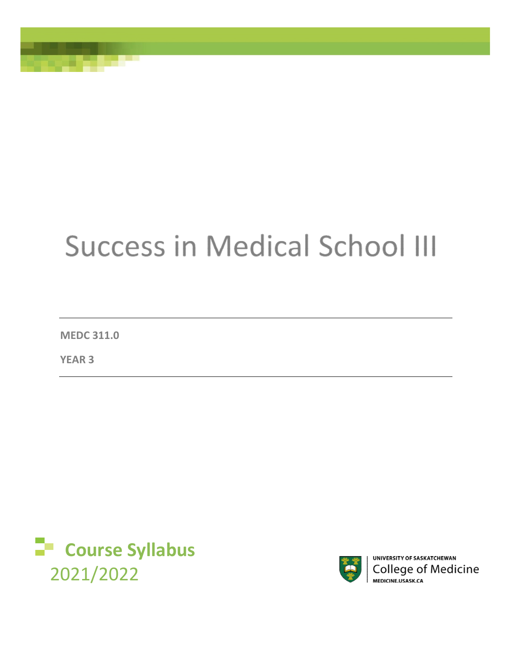# **Success in Medical School III**

**MEDC 311.0** 

**YEAR 3** 





UNIVERSITY OF SASKATCHEWAN **College of Medicine** MEDICINE.USASK.CA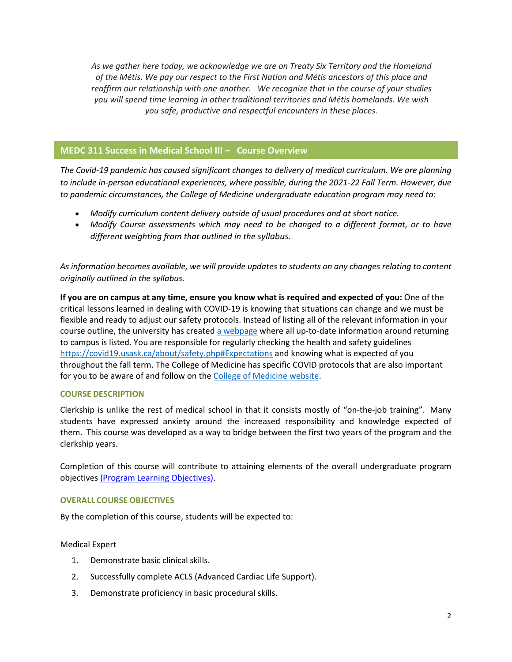*As we gather here today, we acknowledge we are on Treaty Six Territory and the Homeland of the Métis. We pay our respect to the First Nation and Métis ancestors of this place and reaffirm our relationship with one another. We recognize that in the course of your studies you will spend time learning in other traditional territories and Métis homelands. We wish you safe, productive and respectful encounters in these places.*

# **MEDC 311 Success in Medical School III – Course Overview**

*The Covid-19 pandemic has caused significant changes to delivery of medical curriculum. We are planning to include in-person educational experiences, where possible, during the 2021-22 Fall Term. However, due to pandemic circumstances, the College of Medicine undergraduate education program may need to:* 

- *Modify curriculum content delivery outside of usual procedures and at short notice.*
- *Modify Course assessments which may need to be changed to a different format, or to have different weighting from that outlined in the syllabus.*

*As information becomes available, we will provide updates to students on any changes relating to content originally outlined in the syllabus.* 

**If you are on campus at any time, ensure you know what is required and expected of you:** One of the critical lessons learned in dealing with COVID-19 is knowing that situations can change and we must be flexible and ready to adjust our safety protocols. Instead of listing all of the relevant information in your course outline, the university has create[d a webpage](https://covid19.usask.ca/students.php#Oncampusessentials) where all up-to-date information around returning to campus is listed. You are responsible for regularly checking the health and safety guidelines <https://covid19.usask.ca/about/safety.php#Expectations>and knowing what is expected of you throughout the fall term. The College of Medicine has specific COVID protocols that are also important for you to be aware of and follow on the [College of Medicine website.](https://medicine.usask.ca/students/covid19.php)

# **COURSE DESCRIPTION**

Clerkship is unlike the rest of medical school in that it consists mostly of "on-the-job training". Many students have expressed anxiety around the increased responsibility and knowledge expected of them. This course was developed as a way to bridge between the first two years of the program and the clerkship years.

Completion of this course will contribute to attaining elements of the overall undergraduate program objectives [\(Program Learning Objectives\).](https://medicine.usask.ca/students/undergraduate/curriculum-schedules-objectives.php)

# **OVERALL COURSE OBJECTIVES**

By the completion of this course, students will be expected to:

# Medical Expert

- 1. Demonstrate basic clinical skills.
- 2. Successfully complete ACLS (Advanced Cardiac Life Support).
- 3. Demonstrate proficiency in basic procedural skills.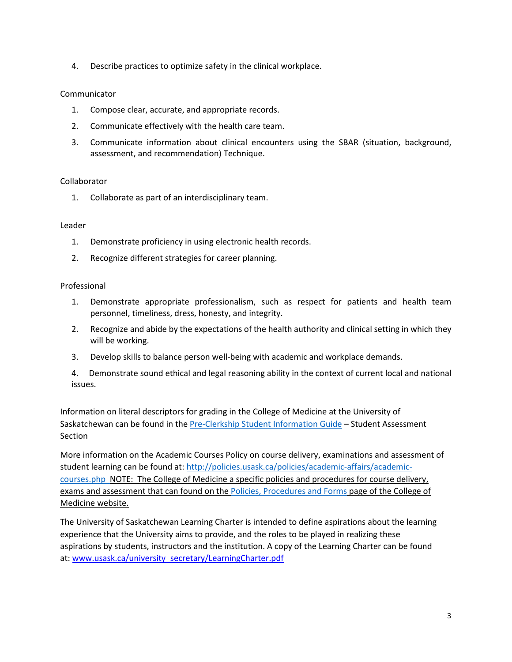4. Describe practices to optimize safety in the clinical workplace.

# Communicator

- 1. Compose clear, accurate, and appropriate records.
- 2. Communicate effectively with the health care team.
- 3. Communicate information about clinical encounters using the SBAR (situation, background, assessment, and recommendation) Technique.

# Collaborator

1. Collaborate as part of an interdisciplinary team.

# Leader

- 1. Demonstrate proficiency in using electronic health records.
- 2. Recognize different strategies for career planning.

# Professional

- 1. Demonstrate appropriate professionalism, such as respect for patients and health team personnel, timeliness, dress, honesty, and integrity.
- 2. Recognize and abide by the expectations of the health authority and clinical setting in which they will be working.
- 3. Develop skills to balance person well-being with academic and workplace demands.
- 4. Demonstrate sound ethical and legal reasoning ability in the context of current local and national issues.

Information on literal descriptors for grading in the College of Medicine at the University of Saskatchewan can be found in the [Pre-Clerkship Student Information Guide](https://medicine.usask.ca/documents/ugme/syllabi/student-guide-to-pre-clerkship.pdf) – Student Assessment Section

More information on the Academic Courses Policy on course delivery, examinations and assessment of student learning can be found at: [http://policies.usask.ca/policies/academic-affairs/academic](http://policies.usask.ca/policies/academic-affairs/academic-courses.php)[courses.php](http://policies.usask.ca/policies/academic-affairs/academic-courses.php) NOTE: The College of Medicine a specific policies and procedures for course delivery, exams and assessment that can found on the [Policies, Procedures and Forms](https://medicine.usask.ca/students/undergraduate/policies.php) page of the College of Medicine website.

The University of Saskatchewan Learning Charter is intended to define aspirations about the learning experience that the University aims to provide, and the roles to be played in realizing these aspirations by students, instructors and the institution. A copy of the Learning Charter can be found at: [www.usask.ca/university\\_secretary/LearningCharter.pdf](http://www.usask.ca/university_secretary/LearningCharter.pdf)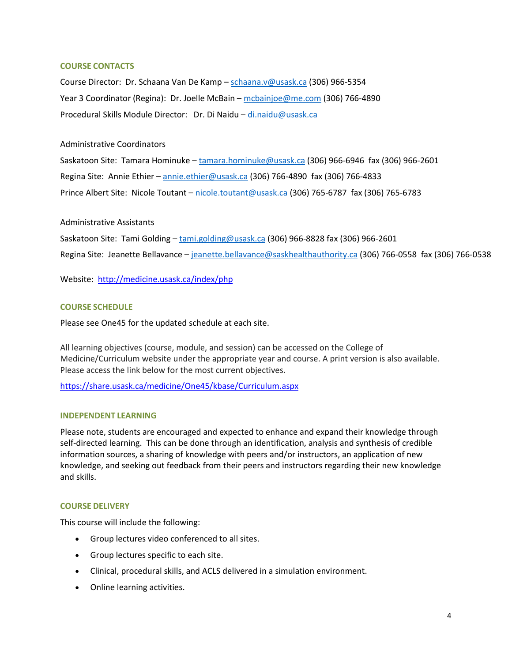# **COURSE CONTACTS**

Course Director: Dr. Schaana Van De Kamp – [schaana.v@usask.ca](mailto:schaana.v@usask.ca) (306) 966-5354 Year 3 Coordinator (Regina): Dr. Joelle McBain – [mcbainjoe@me.com](mailto:mcbainjoe@me.com) (306) 766-4890 Procedural Skills Module Director: Dr. Di Naidu – [di.naidu@usask.ca](mailto:di.naidu@usask.ca)

# Administrative Coordinators

Saskatoon Site: Tamara Hominuke – [tamara.hominuke@usask.ca](mailto:tamara.hominuke@usask.ca) (306) 966-6946 fax (306) 966-2601 Regina Site: Annie Ethier – [annie.ethier@usask.ca](mailto:annie.ethier@usask.ca) (306) 766-4890 fax (306) 766-4833 Prince Albert Site: Nicole Toutant [– nicole.toutant@usask.ca](mailto:nicole.toutant@usask.ca) (306) 765-6787 fax (306) 765-6783

# Administrative Assistants

Saskatoon Site: Tami Golding - [tami.golding@usask.ca](mailto:tami.golding@usask.ca) (306) 966-8828 fax (306) 966-2601

Regina Site: Jeanette Bellavanc[e – jeanette.bellavance@saskhealthauthority.ca](mailto:%E2%80%93%20jeanette.bellavance@saskhealthauthority.ca) (306) 766-0558 fax (306) 766-0538

Website: <http://medicine.usask.ca/index/php>

# **COURSE SCHEDULE**

Please see One45 for the updated schedule at each site.

All learning objectives (course, module, and session) can be accessed on the College of Medicine/Curriculum website under the appropriate year and course. A print version is also available. Please access the link below for the most current objectives.

[https://share.usask.ca/medicine/One45/kbase/Curriculum.aspx](https://share.usask.ca/medicine/one45/kbase/Curriculum.aspx)

#### **INDEPENDENT LEARNING**

Please note, students are encouraged and expected to enhance and expand their knowledge through self-directed learning. This can be done through an identification, analysis and synthesis of credible information sources, a sharing of knowledge with peers and/or instructors, an application of new knowledge, and seeking out feedback from their peers and instructors regarding their new knowledge and skills.

#### **COURSE DELIVERY**

This course will include the following:

- Group lectures video conferenced to all sites.
- Group lectures specific to each site.
- Clinical, procedural skills, and ACLS delivered in a simulation environment.
- Online learning activities.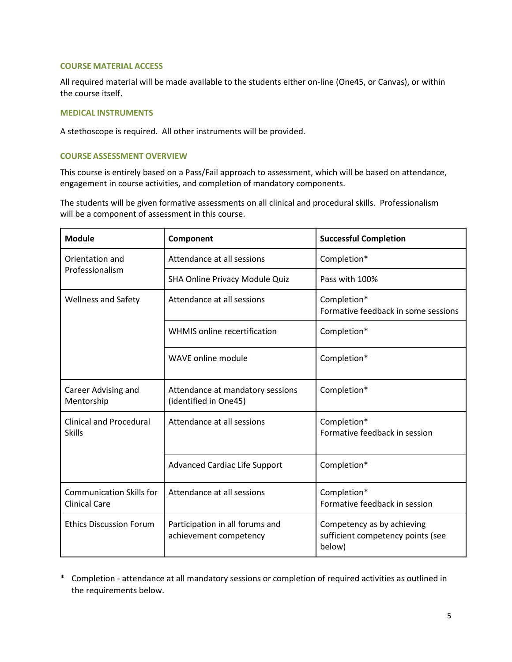#### **COURSE MATERIAL ACCESS**

All required material will be made available to the students either on-line (One45, or Canvas), or within the course itself.

#### **MEDICAL INSTRUMENTS**

A stethoscope is required. All other instruments will be provided.

# **COURSE ASSESSMENT OVERVIEW**

This course is entirely based on a Pass/Fail approach to assessment, which will be based on attendance, engagement in course activities, and completion of mandatory components.

The students will be given formative assessments on all clinical and procedural skills. Professionalism will be a component of assessment in this course.

| <b>Module</b>                                           | Component                                                 | <b>Successful Completion</b>                                              |
|---------------------------------------------------------|-----------------------------------------------------------|---------------------------------------------------------------------------|
| Orientation and<br>Professionalism                      | Attendance at all sessions                                | Completion*                                                               |
|                                                         | SHA Online Privacy Module Quiz                            | Pass with 100%                                                            |
| <b>Wellness and Safety</b>                              | Attendance at all sessions                                | Completion*<br>Formative feedback in some sessions                        |
|                                                         | WHMIS online recertification                              | Completion*                                                               |
|                                                         | WAVE online module                                        | Completion*                                                               |
| Career Advising and<br>Mentorship                       | Attendance at mandatory sessions<br>(identified in One45) | Completion*                                                               |
| <b>Clinical and Procedural</b><br><b>Skills</b>         | Attendance at all sessions                                | Completion*<br>Formative feedback in session                              |
|                                                         | <b>Advanced Cardiac Life Support</b>                      | Completion*                                                               |
| <b>Communication Skills for</b><br><b>Clinical Care</b> | Attendance at all sessions                                | Completion*<br>Formative feedback in session                              |
| <b>Ethics Discussion Forum</b>                          | Participation in all forums and<br>achievement competency | Competency as by achieving<br>sufficient competency points (see<br>below) |

\* Completion - attendance at all mandatory sessions or completion of required activities as outlined in the requirements below.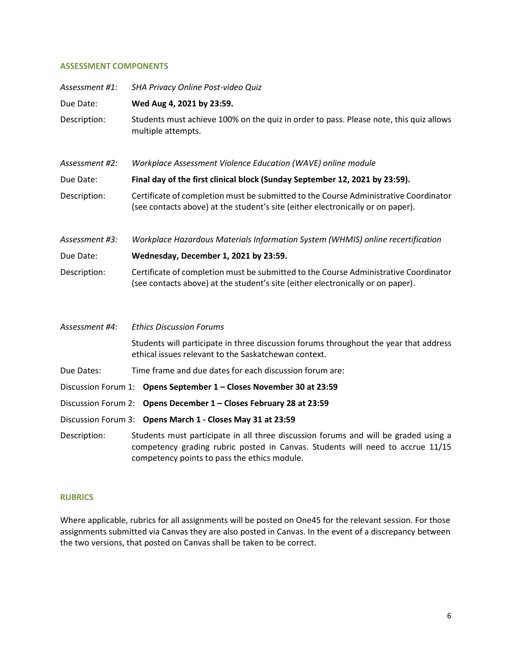## **ASSESSMENT COMPONENTS**

| Assessment #1: | SHA Privacy Online Post-video Quiz                                                                                                                                                                                    |  |
|----------------|-----------------------------------------------------------------------------------------------------------------------------------------------------------------------------------------------------------------------|--|
| Due Date:      | Wed Aug 4, 2021 by 23:59.                                                                                                                                                                                             |  |
| Description:   | Students must achieve 100% on the quiz in order to pass. Please note, this quiz allows<br>multiple attempts.                                                                                                          |  |
| Assessment #2: | Workplace Assessment Violence Education (WAVE) online module                                                                                                                                                          |  |
| Due Date:      | Final day of the first clinical block (Sunday September 12, 2021 by 23:59).                                                                                                                                           |  |
| Description:   | Certificate of completion must be submitted to the Course Administrative Coordinator<br>(see contacts above) at the student's site (either electronically or on paper).                                               |  |
| Assessment #3: | Workplace Hazardous Materials Information System (WHMIS) online recertification                                                                                                                                       |  |
| Due Date:      | Wednesday, December 1, 2021 by 23:59.                                                                                                                                                                                 |  |
| Description:   | Certificate of completion must be submitted to the Course Administrative Coordinator<br>(see contacts above) at the student's site (either electronically or on paper).                                               |  |
| Assessment #4: | <b>Ethics Discussion Forums</b>                                                                                                                                                                                       |  |
|                | Students will participate in three discussion forums throughout the year that address<br>ethical issues relevant to the Saskatchewan context.                                                                         |  |
| Due Dates:     | Time frame and due dates for each discussion forum are:                                                                                                                                                               |  |
|                | Discussion Forum 1: Opens September 1 - Closes November 30 at 23:59                                                                                                                                                   |  |
|                | Discussion Forum 2: Opens December 1 - Closes February 28 at 23:59                                                                                                                                                    |  |
|                | Discussion Forum 3: Opens March 1 - Closes May 31 at 23:59                                                                                                                                                            |  |
| Description:   | Students must participate in all three discussion forums and will be graded using a<br>competency grading rubric posted in Canvas. Students will need to accrue 11/15<br>competency points to pass the ethics module. |  |

# **RUBRICS**

Where applicable, rubrics for all assignments will be posted on One45 for the relevant session. For those assignments submitted via Canvas they are also posted in Canvas. In the event of a discrepancy between the two versions, that posted on Canvas shall be taken to be correct.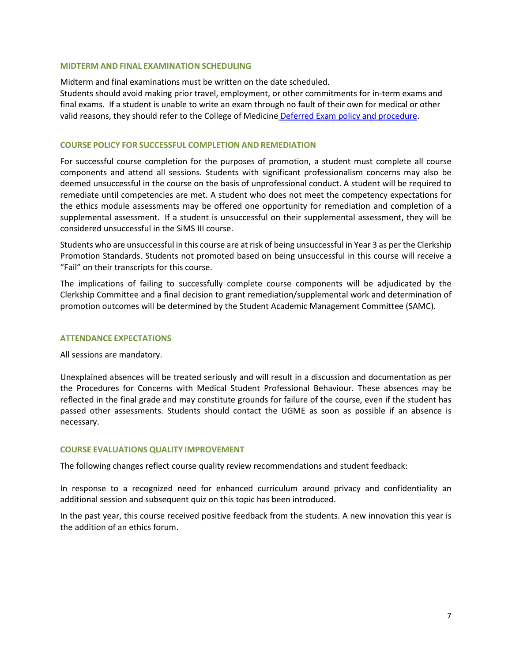#### **MIDTERM AND FINAL EXAMINATION SCHEDULING**

Midterm and final examinations must be written on the date scheduled.

Students should avoid making prior travel, employment, or other commitments for in-term exams and final exams. If a student is unable to write an exam through no fault of their own for medical or other valid reasons, they should refer to the College of Medicine [Deferred Exam policy and procedure.](https://medicine.usask.ca/policies/deferred-exams.php)

#### **COURSE POLICY FOR SUCCESSFUL COMPLETION AND REMEDIATION**

For successful course completion for the purposes of promotion, a student must complete all course components and attend all sessions. Students with significant professionalism concerns may also be deemed unsuccessful in the course on the basis of unprofessional conduct. A student will be required to remediate until competencies are met. A student who does not meet the competency expectations for the ethics module assessments may be offered one opportunity for remediation and completion of a supplemental assessment. If a student is unsuccessful on their supplemental assessment, they will be considered unsuccessful in the SiMS III course.

Students who are unsuccessful in this course are at risk of being unsuccessful in Year 3 as per the Clerkship Promotion Standards. Students not promoted based on being unsuccessful in this course will receive a "Fail" on their transcripts for this course.

The implications of failing to successfully complete course components will be adjudicated by the Clerkship Committee and a final decision to grant remediation/supplemental work and determination of promotion outcomes will be determined by the Student Academic Management Committee (SAMC).

#### **ATTENDANCE EXPECTATIONS**

All sessions are mandatory.

Unexplained absences will be treated seriously and will result in a discussion and documentation as per the Procedures for Concerns with Medical Student Professional Behaviour. These absences may be reflected in the final grade and may constitute grounds for failure of the course, even if the student has passed other assessments. Students should contact the UGME as soon as possible if an absence is necessary.

#### **COURSE EVALUATIONS QUALITY IMPROVEMENT**

The following changes reflect course quality review recommendations and student feedback:

In response to a recognized need for enhanced curriculum around privacy and confidentiality an additional session and subsequent quiz on this topic has been introduced.

In the past year, this course received positive feedback from the students. A new innovation this year is the addition of an ethics forum.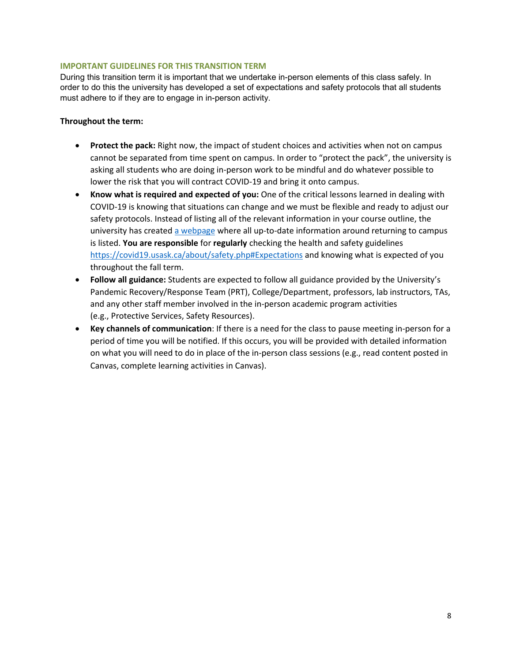# **IMPORTANT GUIDELINES FOR THIS TRANSITION TERM**

During this transition term it is important that we undertake in-person elements of this class safely. In order to do this the university has developed a set of expectations and safety protocols that all students must adhere to if they are to engage in in-person activity.

#### **Throughout the term:**

- **Protect the pack:** Right now, the impact of student choices and activities when not on campus cannot be separated from time spent on campus. In order to "protect the pack", the university is asking all students who are doing in-person work to be mindful and do whatever possible to lower the risk that you will contract COVID-19 and bring it onto campus.
- **Know what is required and expected of you:** One of the critical lessons learned in dealing with COVID-19 is knowing that situations can change and we must be flexible and ready to adjust our safety protocols. Instead of listing all of the relevant information in your course outline, the university has created [a webpage w](https://covid19.usask.ca/students.php#Oncampusessentials)here all up-to-date information around returning to campus is listed. **You are responsible** for **regularly** checking the health and safety guidelines <https://covid19.usask.ca/about/safety.php#Expectations>and knowing what is expected of you throughout the fall term.
- **Follow all guidance:** Students are expected to follow all guidance provided by the University's Pandemic Recovery/Response Team (PRT), College/Department, professors, lab instructors, TAs, and any other staff member involved in the in-person academic program activities (e.g., Protective Services, Safety Resources).
- **Key channels of communication**: If there is a need for the class to pause meeting in-person for a period of time you will be notified. If this occurs, you will be provided with detailed information on what you will need to do in place of the in-person class sessions (e.g., read content posted in Canvas, complete learning activities in Canvas).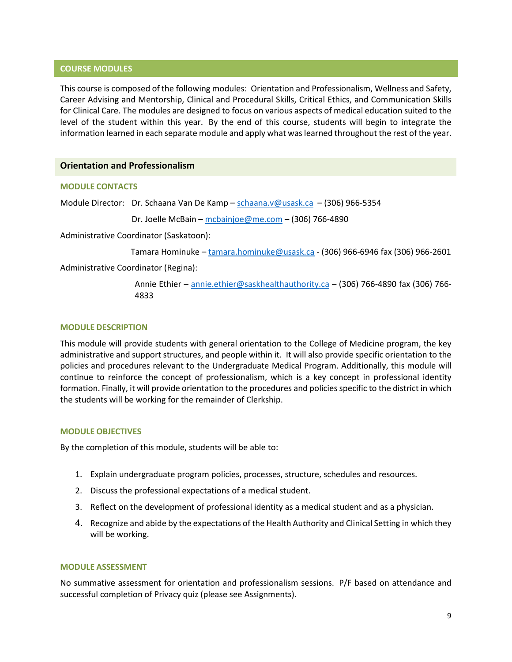#### **COURSE MODULES**

This course is composed of the following modules: Orientation and Professionalism, Wellness and Safety, Career Advising and Mentorship, Clinical and Procedural Skills, Critical Ethics, and Communication Skills for Clinical Care. The modules are designed to focus on various aspects of medical education suited to the level of the student within this year. By the end of this course, students will begin to integrate the information learned in each separate module and apply what was learned throughout the rest of the year.

# **Orientation and Professionalism**

#### **MODULE CONTACTS**

Module Director: Dr. Schaana Van De Kamp – [schaana.v@usask.ca](mailto:schaana.v@usask.ca) – (306) 966-5354

Dr. Joelle McBain – [mcbainjoe@me.com](mailto:mcbainjoe@me.com) – (306) 766-4890

Administrative Coordinator (Saskatoon):

Tamara Hominuke – [tamara.hominuke@usask.ca](mailto:tamara.hominuke@usask.ca) - (306) 966-6946 fax (306) 966-2601

Administrative Coordinator (Regina):

Annie Ethier – [annie.ethier@saskhealthauthority.ca](mailto:annie.ethier@saskhealthauthority.ca) – (306) 766-4890 fax (306) 766-4833

#### **MODULE DESCRIPTION**

This module will provide students with general orientation to the College of Medicine program, the key administrative and support structures, and people within it. It will also provide specific orientation to the policies and procedures relevant to the Undergraduate Medical Program. Additionally, this module will continue to reinforce the concept of professionalism, which is a key concept in professional identity formation. Finally, it will provide orientation to the procedures and policies specific to the district in which the students will be working for the remainder of Clerkship.

#### **MODULE OBJECTIVES**

By the completion of this module, students will be able to:

- 1. Explain undergraduate program policies, processes, structure, schedules and resources.
- 2. Discuss the professional expectations of a medical student.
- 3. Reflect on the development of professional identity as a medical student and as a physician.
- 4. Recognize and abide by the expectations of the Health Authority and Clinical Setting in which they will be working.

#### **MODULE ASSESSMENT**

No summative assessment for orientation and professionalism sessions. P/F based on attendance and successful completion of Privacy quiz (please see Assignments).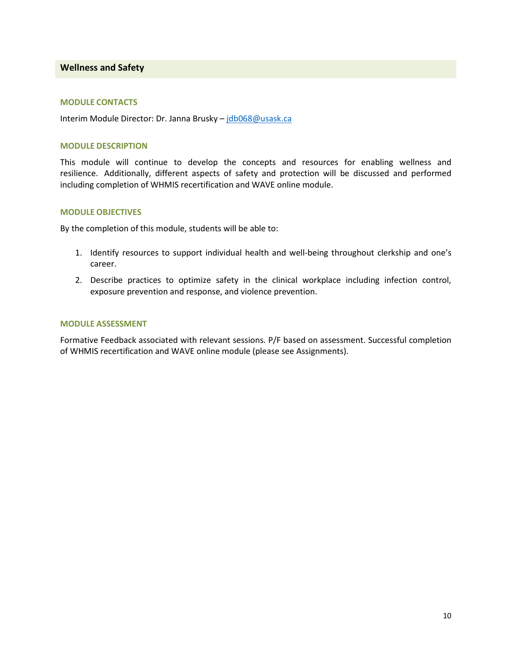#### **Wellness and Safety**

#### **MODULE CONTACTS**

Interim Module Director: Dr. Janna Brusky – [jdb068@usask.ca](mailto:jdb068@usask.ca) 

#### **MODULE DESCRIPTION**

This module will continue to develop the concepts and resources for enabling wellness and resilience. Additionally, different aspects of safety and protection will be discussed and performed including completion of WHMIS recertification and WAVE online module.

#### **MODULE OBJECTIVES**

By the completion of this module, students will be able to:

- 1. Identify resources to support individual health and well-being throughout clerkship and one's career.
- 2. Describe practices to optimize safety in the clinical workplace including infection control, exposure prevention and response, and violence prevention.

#### **MODULE ASSESSMENT**

Formative Feedback associated with relevant sessions. P/F based on assessment. Successful completion of WHMIS recertification and WAVE online module (please see Assignments).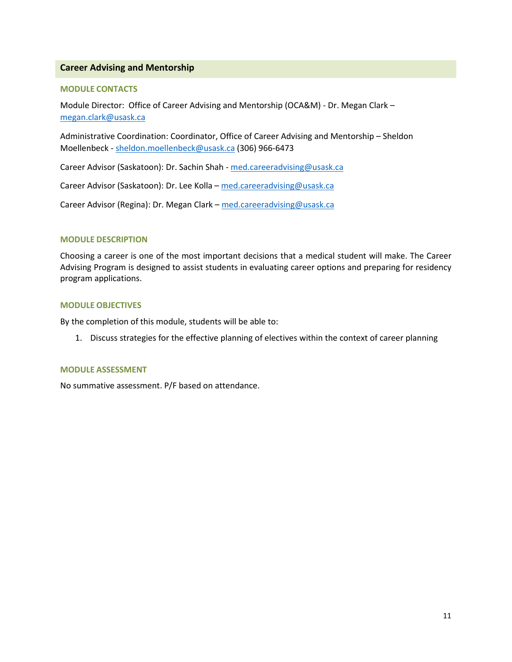# **Career Advising and Mentorship**

#### **MODULE CONTACTS**

Module Director: Office of Career Advising and Mentorship (OCA&M) - Dr. Megan Clark – [megan.clark@usask.ca](mailto:megan.clark@usask.ca) 

Administrative Coordination: Coordinator, Office of Career Advising and Mentorship – Sheldon Moellenbeck - [sheldon.moellenbeck@usask.ca](mailto:sheldon.moellenbeck@usask.ca) (306) 966-6473

Career Advisor (Saskatoon): Dr. Sachin Shah - [med.careeradvising@usask.ca](mailto:med.careeradvising@usask.ca) 

Career Advisor (Saskatoon): Dr. Lee Kolla [– med.careeradvising@usask.ca](mailto:med.careeradvising@usask.ca) 

Career Advisor (Regina): Dr. Megan Clark – [med.careeradvising@usask.ca](mailto:med.careeradvising@usask.ca) 

#### **MODULE DESCRIPTION**

Choosing a career is one of the most important decisions that a medical student will make. The Career Advising Program is designed to assist students in evaluating career options and preparing for residency program applications.

# **MODULE OBJECTIVES**

By the completion of this module, students will be able to:

1. Discuss strategies for the effective planning of electives within the context of career planning

#### **MODULE ASSESSMENT**

No summative assessment. P/F based on attendance.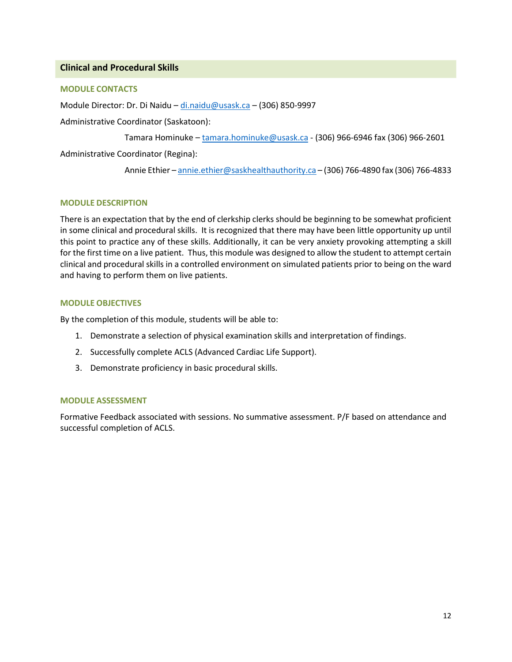# **Clinical and Procedural Skills**

# **MODULE CONTACTS**

Module Director: Dr. Di Naidu – [di.naidu@usask.ca](mailto:di.naidu@usask.ca) – (306) 850-9997

Administrative Coordinator (Saskatoon):

Tamara Hominuke [– tamara.hominuke@usask.ca](mailto:tamara.hominuke@usask.ca) - (306) 966-6946 fax (306) 966-2601

Administrative Coordinator (Regina):

Annie Ethier [– annie.ethier@saskhealthauthority.ca –](mailto:annie.ethier@saskhealthauthority.ca) (306) 766-4890 fax (306) 766-4833

# **MODULE DESCRIPTION**

There is an expectation that by the end of clerkship clerks should be beginning to be somewhat proficient in some clinical and procedural skills. It is recognized that there may have been little opportunity up until this point to practice any of these skills. Additionally, it can be very anxiety provoking attempting a skill for the first time on a live patient. Thus, this module was designed to allow the student to attempt certain clinical and procedural skills in a controlled environment on simulated patients prior to being on the ward and having to perform them on live patients.

# **MODULE OBJECTIVES**

By the completion of this module, students will be able to:

- 1. Demonstrate a selection of physical examination skills and interpretation of findings.
- 2. Successfully complete ACLS (Advanced Cardiac Life Support).
- 3. Demonstrate proficiency in basic procedural skills.

#### **MODULE ASSESSMENT**

Formative Feedback associated with sessions. No summative assessment. P/F based on attendance and successful completion of ACLS.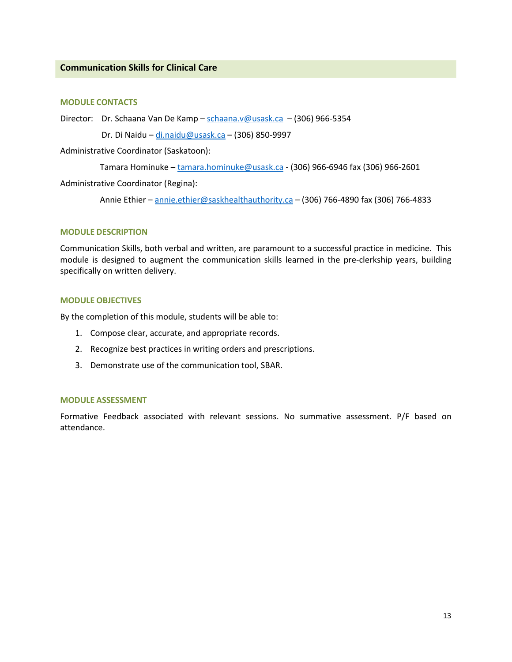# **Communication Skills for Clinical Care**

#### **MODULE CONTACTS**

Director: Dr. Schaana Van De Kamp – [schaana.v@usask.ca](mailto:schaana.v@usask.ca) – (306) 966-5354

Dr. Di Naidu – [di.naidu@usask.ca](mailto:di.naidu@usask.ca) – (306) 850-9997

Administrative Coordinator (Saskatoon):

Tamara Hominuke – [tamara.hominuke@usask.ca](mailto:tamara.hominuke@usask.ca) - (306) 966-6946 fax (306) 966-2601

Administrative Coordinator (Regina):

Annie Ethier – [annie.ethier@saskhealthauthority.ca](mailto:annie.ethier@saskhealthauthority.ca) – (306) 766-4890 fax (306) 766-4833

#### **MODULE DESCRIPTION**

Communication Skills, both verbal and written, are paramount to a successful practice in medicine. This module is designed to augment the communication skills learned in the pre-clerkship years, building specifically on written delivery.

# **MODULE OBJECTIVES**

By the completion of this module, students will be able to:

- 1. Compose clear, accurate, and appropriate records.
- 2. Recognize best practices in writing orders and prescriptions.
- 3. Demonstrate use of the communication tool, SBAR.

# **MODULE ASSESSMENT**

Formative Feedback associated with relevant sessions. No summative assessment. P/F based on attendance.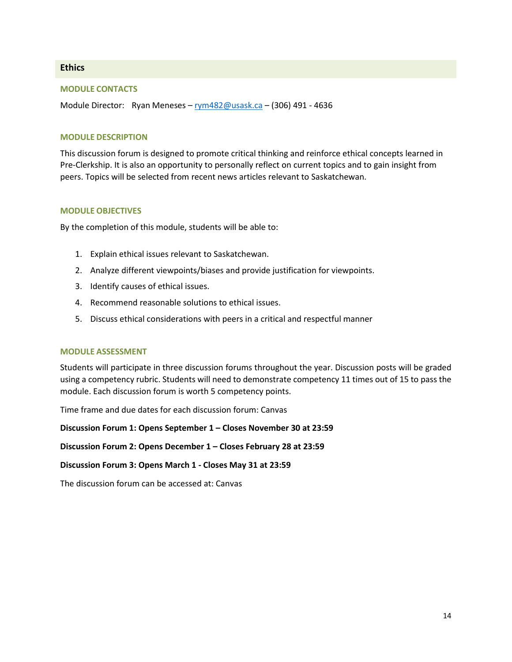# **Ethics**

## **MODULE CONTACTS**

Module Director: Ryan Meneses [– rym482@usask.ca](mailto:rym482@usask.ca) – (306) 491 - 4636

#### **MODULE DESCRIPTION**

This discussion forum is designed to promote critical thinking and reinforce ethical concepts learned in Pre-Clerkship. It is also an opportunity to personally reflect on current topics and to gain insight from peers. Topics will be selected from recent news articles relevant to Saskatchewan.

#### **MODULE OBJECTIVES**

By the completion of this module, students will be able to:

- 1. Explain ethical issues relevant to Saskatchewan.
- 2. Analyze different viewpoints/biases and provide justification for viewpoints.
- 3. Identify causes of ethical issues.
- 4. Recommend reasonable solutions to ethical issues.
- 5. Discuss ethical considerations with peers in a critical and respectful manner

#### **MODULE ASSESSMENT**

Students will participate in three discussion forums throughout the year. Discussion posts will be graded using a competency rubric. Students will need to demonstrate competency 11 times out of 15 to pass the module. Each discussion forum is worth 5 competency points.

Time frame and due dates for each discussion forum: Canvas

**Discussion Forum 1: Opens September 1 – Closes November 30 at 23:59**

**Discussion Forum 2: Opens December 1 – Closes February 28 at 23:59**

#### **Discussion Forum 3: Opens March 1 - Closes May 31 at 23:59**

The discussion forum can be accessed at: Canvas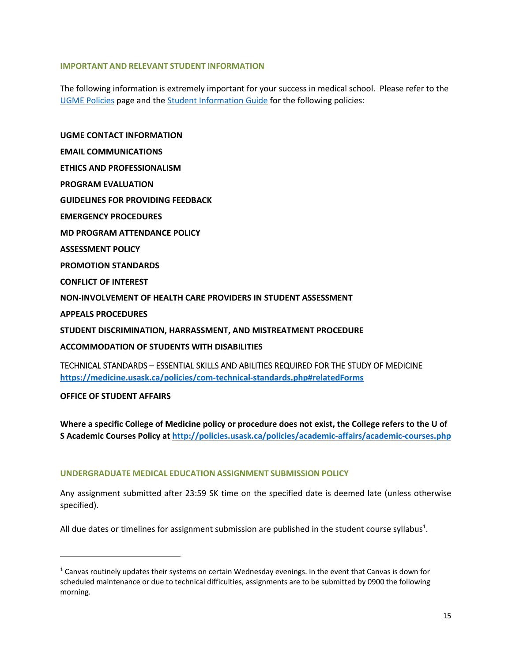# **IMPORTANT AND RELEVANT STUDENT INFORMATION**

The following information is extremely important for your success in medical school. Please refer to the [UGME Policies](http://medicine.usask.ca/students/undergraduate/policies.php) page and the [Student Information Guide](http://medicine.usask.ca/students/undergraduate/curriculum-schedules-objectives.php) for the following policies:

**UGME CONTACT INFORMATION EMAIL COMMUNICATIONS ETHICS AND PROFESSIONALISM PROGRAM EVALUATION GUIDELINES FOR PROVIDING FEEDBACK\ EMERGENCY PROCEDURES MD PROGRAM ATTENDANCE POLICY ASSESSMENT POLICY PROMOTION STANDARDS CONFLICT OF INTEREST NON-INVOLVEMENT OF HEALTH CARE PROVIDERS IN STUDENT ASSESSMENT APPEALS PROCEDURES STUDENT DISCRIMINATION, HARRASSMENT, AND MISTREATMENT PROCEDURE ACCOMMODATION OF STUDENTS WITH DISABILITIES**  TECHNICAL STANDARDS – ESSENTIAL SKILLS AND ABILITIES REQUIRED FOR THE STUDY OF MEDICINE **<https://medicine.usask.ca/policies/com-technical-standards.php#relatedForms>**

**OFFICE OF STUDENT AFFAIRS**

 $\overline{a}$ 

**Where a specific College of Medicine policy or procedure does not exist, the College refers to the U of S Academic Courses Policy at<http://policies.usask.ca/policies/academic-affairs/academic-courses.php>**

# **UNDERGRADUATE MEDICAL EDUCATION ASSIGNMENT SUBMISSION POLICY**

Any assignment submitted after 23:59 SK time on the specified date is deemed late (unless otherwise specified).

All due dates or timelines for assignment submission are published in the student course syllabus<sup>1</sup>.

 $1$  Canvas routinely updates their systems on certain Wednesday evenings. In the event that Canvas is down for scheduled maintenance or due to technical difficulties, assignments are to be submitted by 0900 the following morning.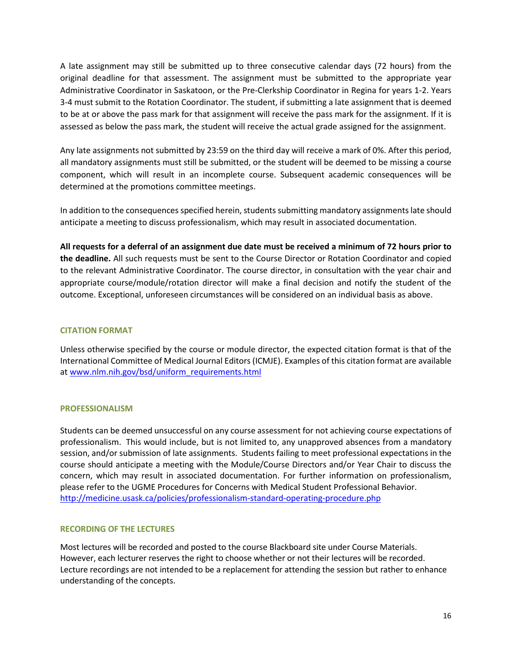A late assignment may still be submitted up to three consecutive calendar days (72 hours) from the original deadline for that assessment. The assignment must be submitted to the appropriate year Administrative Coordinator in Saskatoon, or the Pre-Clerkship Coordinator in Regina for years 1-2. Years 3-4 must submit to the Rotation Coordinator. The student, if submitting a late assignment that is deemed to be at or above the pass mark for that assignment will receive the pass mark for the assignment. If it is assessed as below the pass mark, the student will receive the actual grade assigned for the assignment.

Any late assignments not submitted by 23:59 on the third day will receive a mark of 0%. After this period, all mandatory assignments must still be submitted, or the student will be deemed to be missing a course component, which will result in an incomplete course. Subsequent academic consequences will be determined at the promotions committee meetings.

In addition to the consequences specified herein, students submitting mandatory assignments late should anticipate a meeting to discuss professionalism, which may result in associated documentation.

**All requests for a deferral of an assignment due date must be received a minimum of 72 hours prior to the deadline.** All such requests must be sent to the Course Director or Rotation Coordinator and copied to the relevant Administrative Coordinator. The course director, in consultation with the year chair and appropriate course/module/rotation director will make a final decision and notify the student of the outcome. Exceptional, unforeseen circumstances will be considered on an individual basis as above.

# **CITATION FORMAT**

Unless otherwise specified by the course or module director, the expected citation format is that of the International Committee of Medical Journal Editors (ICMJE). Examples of this citation format are available at [www.nlm.nih.gov/bsd/uniform\\_requirements.html](http://www.nlm.nih.gov/bsd/uniform_requirements.html)

# **PROFESSIONALISM**

Students can be deemed unsuccessful on any course assessment for not achieving course expectations of professionalism. This would include, but is not limited to, any unapproved absences from a mandatory session, and/or submission of late assignments. Students failing to meet professional expectations in the course should anticipate a meeting with the Module/Course Directors and/or Year Chair to discuss the concern, which may result in associated documentation. For further information on professionalism, please refer to the UGME Procedures for Concerns with Medical Student Professional Behavior. <http://medicine.usask.ca/policies/professionalism-standard-operating-procedure.php>

# **RECORDING OF THE LECTURES**

Most lectures will be recorded and posted to the course Blackboard site under Course Materials. However, each lecturer reserves the right to choose whether or not their lectures will be recorded. Lecture recordings are not intended to be a replacement for attending the session but rather to enhance understanding of the concepts.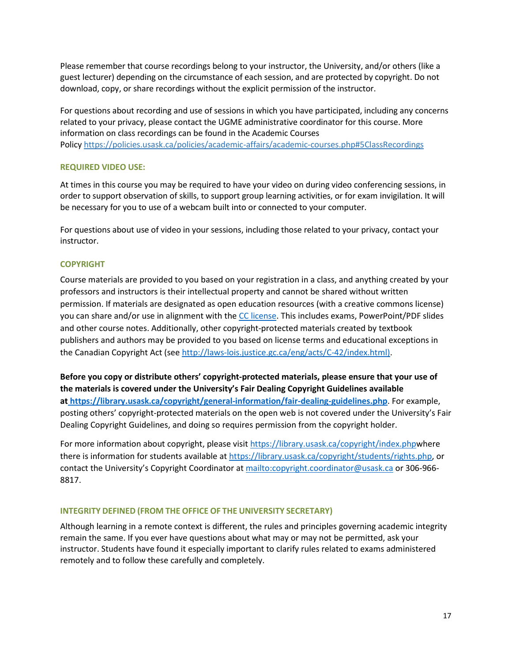Please remember that course recordings belong to your instructor, the University, and/or others (like a guest lecturer) depending on the circumstance of each session, and are protected by copyright. Do not download, copy, or share recordings without the explicit permission of the instructor.

For questions about recording and use of sessions in which you have participated, including any concerns related to your privacy, please contact the UGME administrative coordinator for this course. More information on class recordings can be found in the Academic Courses Policy<https://policies.usask.ca/policies/academic-affairs/academic-courses.php#5ClassRecordings>

# **REQUIRED VIDEO USE:**

At times in this course you may be required to have your video on during video conferencing sessions, in order to support observation of skills, to support group learning activities, or for exam invigilation. It will be necessary for you to use of a webcam built into or connected to your computer.

For questions about use of video in your sessions, including those related to your privacy, contact your instructor.

# **COPYRIGHT**

Course materials are provided to you based on your registration in a class, and anything created by your professors and instructors is their intellectual property and cannot be shared without written permission. If materials are designated as open education resources (with a creative commons license) you can share and/or use in alignment with th[e CC license.](https://openpress.usask.ca/authoring/chapter/creative-commons-licenses/) This includes exams, PowerPoint/PDF slides and other course notes. Additionally, other copyright-protected materials created by textbook publishers and authors may be provided to you based on license terms and educational exceptions in the Canadian Copyright Act (se[e http://laws-lois.justice.gc.ca/eng/acts/C-42/index.html\).](http://laws-lois.justice.gc.ca/eng/acts/C-42/index.html)

**Before you copy or distribute others' copyright-protected materials, please ensure that your use of the materials is covered under the University's Fair Dealing Copyright Guidelines available a[t https://library.usask.ca/copyright/general-information/fair-dealing-guidelines.php](https://library.usask.ca/copyright/general-information/fair-dealing-guidelines.php)**. For example, posting others' copyright-protected materials on the open web is not covered under the University's Fair Dealing Copyright Guidelines, and doing so requires permission from the copyright holder.

For more information about copyright, please visit [https://library.usask.ca/copyright/index.phpw](https://library.usask.ca/copyright/index.php)here there is information for students available at [https://library.usask.ca/copyright/students/rights.php,](https://library.usask.ca/copyright/students/rights.php) or contact the University's Copyright Coordinator at [mailto:copyright.coordinator@usask.ca o](mailto:copyright.coordinator@usask.ca)r 306-966- 8817.

# **INTEGRITY DEFINED (FROM THE OFFICE OF THE UNIVERSITY SECRETARY)**

Although learning in a remote context is different, the rules and principles governing academic integrity remain the same. If you ever have questions about what may or may not be permitted, ask your instructor. Students have found it especially important to clarify rules related to exams administered remotely and to follow these carefully and completely.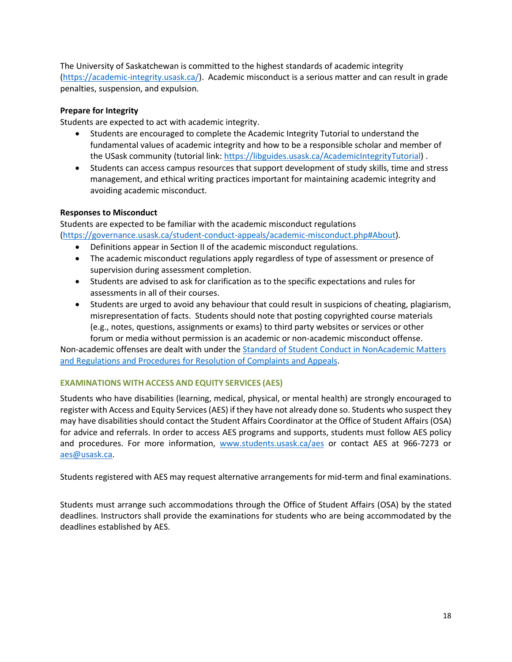The University of Saskatchewan is committed to the highest standards of academic integrity [\(https://academic-integrity.usask.ca/\)](https://academic-integrity.usask.ca/). Academic misconduct is a serious matter and can result in grade penalties, suspension, and expulsion.

# **Prepare for Integrity**

Students are expected to act with academic integrity.

- Students are encouraged to complete the Academic Integrity Tutorial to understand the fundamental values of academic integrity and how to be a responsible scholar and member of the USask community (tutorial link: [https://libguides.usask.ca/AcademicIntegrityTutorial\)](https://libguides.usask.ca/AcademicIntegrityTutorial).
- Students can access campus resources that support development of study skills, time and stress management, and ethical writing practices important for maintaining academic integrity and avoiding academic misconduct.

# **Responses to Misconduct**

Students are expected to be familiar with the academic misconduct regulations [\(https://governance.usask.ca/student-conduct-appeals/academic-misconduct.php#About\)](https://governance.usask.ca/student-conduct-appeals/academic-misconduct.php#About).

- Definitions appear in Section II of the academic misconduct regulations.
- The academic misconduct regulations apply regardless of type of assessment or presence of supervision during assessment completion.
- Students are advised to ask for clarification as to the specific expectations and rules for assessments in all of their courses.
- Students are urged to avoid any behaviour that could result in suspicions of cheating, plagiarism, misrepresentation of facts. Students should note that posting copyrighted course materials (e.g., notes, questions, assignments or exams) to third party websites or services or other forum or media without permission is an academic or non-academic misconduct offense.

Non-academic offenses are dealt with under the [Standard of Student Conduct in NonAcademic Matters](https://governance.usask.ca/student-conduct-appeals/non-academic-misconduct.php)  [and Regulations and Procedures for Resolution of Complaints and Appeals.](https://governance.usask.ca/student-conduct-appeals/non-academic-misconduct.php)

# **EXAMINATIONS WITH ACCESS AND EQUITY SERVICES (AES)**

Students who have disabilities (learning, medical, physical, or mental health) are strongly encouraged to register with Access and Equity Services (AES) if they have not already done so. Students who suspect they may have disabilities should contact the Student Affairs Coordinator at the Office of Student Affairs (OSA) for advice and referrals. In order to access AES programs and supports, students must follow AES policy and procedures. For more information, [www.students.usask.ca/aes](http://www.students.usask.ca/aes) or contact AES at 966-7273 or [aes@usask.ca.](mailto:aes@usask.ca)

Students registered with AES may request alternative arrangements for mid-term and final examinations.

Students must arrange such accommodations through the Office of Student Affairs (OSA) by the stated deadlines. Instructors shall provide the examinations for students who are being accommodated by the deadlines established by AES.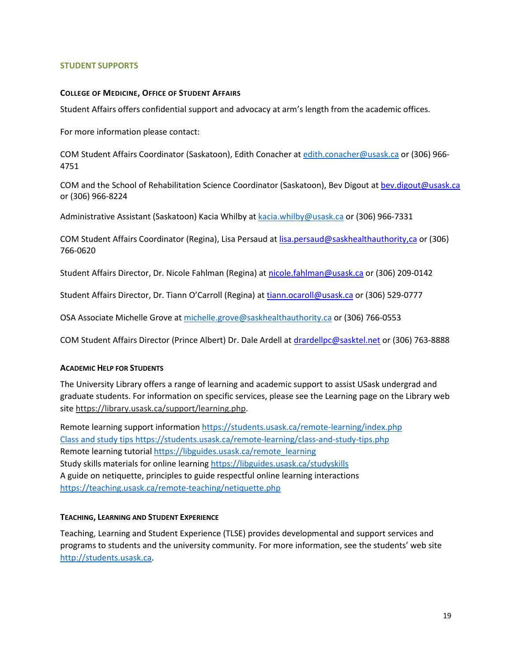# **STUDENT SUPPORTS**

#### **COLLEGE OF MEDICINE, OFFICE OF STUDENT AFFAIRS**

Student Affairs offers confidential support and advocacy at arm's length from the academic offices.

For more information please contact:

COM Student Affairs Coordinator (Saskatoon), Edith Conacher a[t edith.conacher@usask.ca](mailto:edith.conacher@usask.ca) or (306) 966- 4751

COM and the School of Rehabilitation Science Coordinator (Saskatoon), Bev Digout a[t bev.digout@usask.ca](mailto:bev.digout@usask.ca) or (306) 966-8224

Administrative Assistant (Saskatoon) Kacia Whilby at [kacia.whilby@usask.ca](mailto:kacia.whilby@usask.ca) or (306) 966-7331

COM Student Affairs Coordinator (Regina), Lisa Persaud at [lisa.persaud@saskhealthauthority,ca](mailto:lisa.persaud@saskhealthauthority,ca) or (306) 766-0620

Student Affairs Director, Dr. Nicole Fahlman (Regina) at [nicole.fahlman@usask.ca](mailto:nicole.fahlman@usask.ca) or (306) 209-0142

Student Affairs Director, Dr. Tiann O'Carroll (Regina) at [tiann.ocaroll@usask.ca](mailto:tiann.ocaroll@usask.ca) or (306) 529-0777

OSA Associate Michelle [Grove at michelle.grove@saskhealthauthority.ca](mailto:Grove%20at%20michelle.grove@saskhealthauthority.ca--(306)) or (306) 766-0553

COM Student Affairs Director (Prince Albert) Dr. Dale Ardell at [drardellpc@sasktel.net](mailto:drardellpc@sasktel.net) or (306) 763-8888

#### **ACADEMIC HELP FOR STUDENTS**

The University Library offers a range of learning and academic support to assist USask undergrad and graduate students. For information on specific services, please see the Learning page on the Library web sit[e https://library.usask.ca/support/learning.php.](https://library.usask.ca/support/learning.php)

Remote learning support informatio[n https://students.usask.ca/remote-learning/index.php](https://students.usask.ca/remote-learning/index.php) Class and study tips<https://students.usask.ca/remote-learning/class-and-study-tips.php> Remote learning tutorial [https://libguides.usask.ca/remote\\_learning](https://libguides.usask.ca/remote_learning) Study skills materials for online learning https://libguides.usask.ca/studyskills A guide on netiquette, principles to guide respectful online learning interactions <https://teaching.usask.ca/remote-teaching/netiquette.php>

#### **TEACHING, LEARNING AND STUDENT EXPERIENCE**

Teaching, Learning and Student Experience (TLSE) provides developmental and support services and programs to students and the university community. For more information, see the students' web site [http://students.usask.ca.](http://students.usask.ca/)